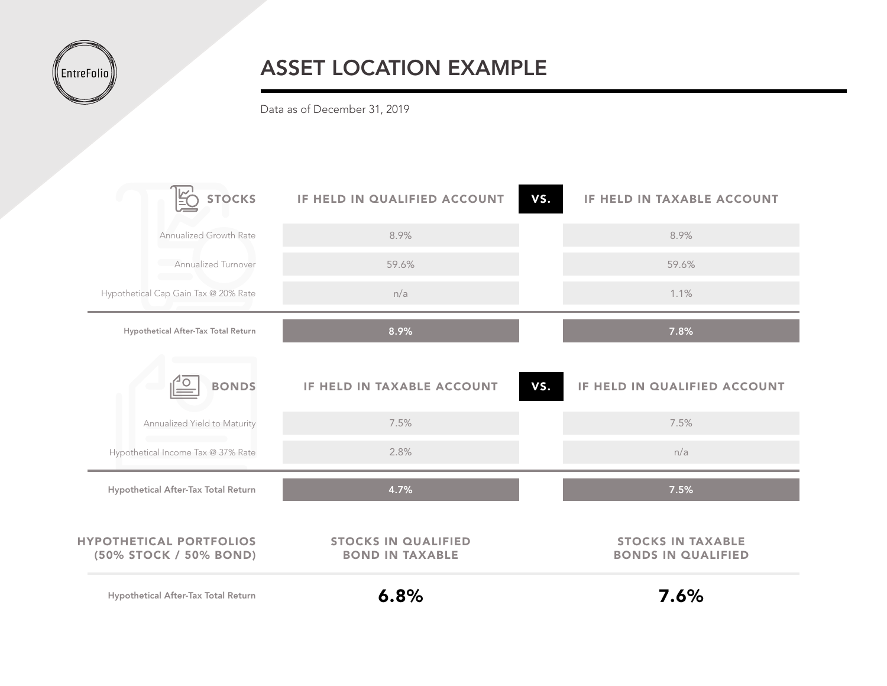

## ASSET LOCATION EXAMPLE

Data as of December 31, 2019



Hypothetical After-Tax Total Return